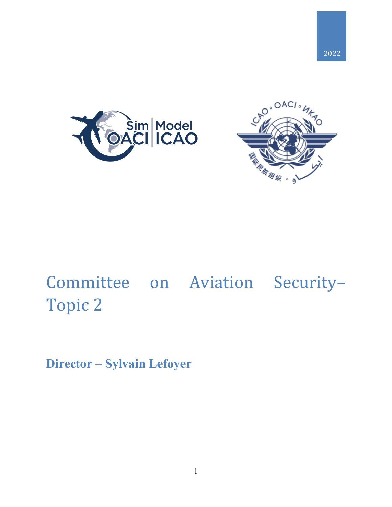



# Committee on Aviation Security– Topic 2

**Director – Sylvain Lefoyer**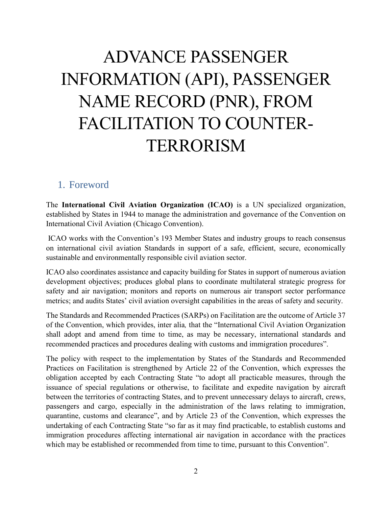# ADVANCE PASSENGER INFORMATION (API), PASSENGER NAME RECORD (PNR), FROM FACILITATION TO COUNTER-TERRORISM

#### 1. Foreword

The **International Civil Aviation Organization (ICAO)** is a UN specialized organization, established by States in 1944 to manage the administration and governance of the Convention on International Civil Aviation (Chicago Convention).

ICAO works with the Convention's 193 Member States and industry groups to reach consensus on international civil aviation Standards in support of a safe, efficient, secure, economically sustainable and environmentally responsible civil aviation sector.

ICAO also coordinates assistance and capacity building for States in support of numerous aviation development objectives; produces global plans to coordinate multilateral strategic progress for safety and air navigation; monitors and reports on numerous air transport sector performance metrics; and audits States' civil aviation oversight capabilities in the areas of safety and security.

The Standards and Recommended Practices (SARPs) on Facilitation are the outcome of Article 37 of the Convention, which provides, inter alia*,* that the "International Civil Aviation Organization shall adopt and amend from time to time, as may be necessary, international standards and recommended practices and procedures dealing with customs and immigration procedures".

The policy with respect to the implementation by States of the Standards and Recommended Practices on Facilitation is strengthened by Article 22 of the Convention, which expresses the obligation accepted by each Contracting State "to adopt all practicable measures, through the issuance of special regulations or otherwise, to facilitate and expedite navigation by aircraft between the territories of contracting States, and to prevent unnecessary delays to aircraft, crews, passengers and cargo, especially in the administration of the laws relating to immigration, quarantine, customs and clearance", and by Article 23 of the Convention, which expresses the undertaking of each Contracting State "so far as it may find practicable, to establish customs and immigration procedures affecting international air navigation in accordance with the practices which may be established or recommended from time to time, pursuant to this Convention".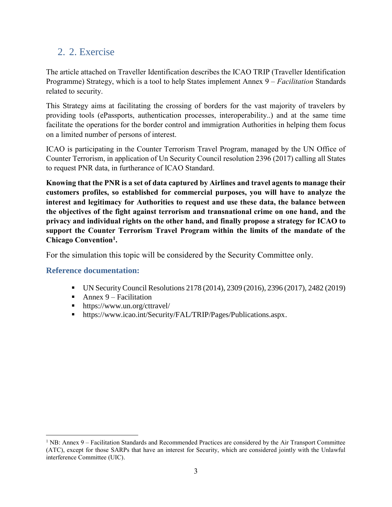### 2. 2. Exercise

The article attached on Traveller Identification describes the ICAO TRIP (Traveller Identification Programme) Strategy, which is a tool to help States implement Annex 9 – *Facilitation* Standards related to security.

This Strategy aims at facilitating the crossing of borders for the vast majority of travelers by providing tools (ePassports, authentication processes, interoperability..) and at the same time facilitate the operations for the border control and immigration Authorities in helping them focus on a limited number of persons of interest.

ICAO is participating in the Counter Terrorism Travel Program, managed by the UN Office of Counter Terrorism, in application of Un Security Council resolution 2396 (2017) calling all States to request PNR data, in furtherance of ICAO Standard.

**Knowing that the PNR is a set of data captured by Airlines and travel agents to manage their customers profiles, so established for commercial purposes, you will have to analyze the interest and legitimacy for Authorities to request and use these data, the balance between the objectives of the fight against terrorism and transnational crime on one hand, and the privacy and individual rights on the other hand, and finally propose a strategy for ICAO to support the Counter Terrorism Travel Program within the limits of the mandate of the Chicago Convention<sup>1</sup> .**

For the simulation this topic will be considered by the Security Committee only.

#### **Reference documentation:**

 $\overline{a}$ 

- UN Security Council Resolutions 2178 (2014), 2309 (2016), 2396 (2017), 2482 (2019)
- Annex  $9$  Facilitation
- <https://www.un.org/cttravel/>
- [https://www.icao.int/Security/FAL/TRIP/Pages/Publications.aspx.](https://www.icao.int/Security/FAL/TRIP/Pages/Publications.aspx)

<sup>1</sup> NB: Annex 9 – Facilitation Standards and Recommended Practices are considered by the Air Transport Committee (ATC), except for those SARPs that have an interest for Security, which are considered jointly with the Unlawful interference Committee (UIC).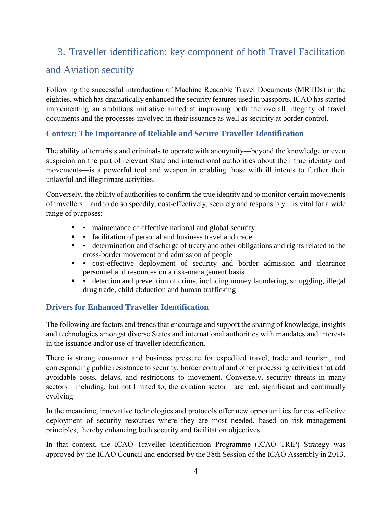## 3. Traveller identification: key component of both Travel Facilitation and Aviation security

Following the successful introduction of Machine Readable Travel Documents (MRTDs) in the eighties, which has dramatically enhanced the security features used in passports, ICAO has started implementing an ambitious initiative aimed at improving both the overall integrity of travel documents and the processes involved in their issuance as well as security at border control.

#### **Context: The Importance of Reliable and Secure Traveller Identification**

The ability of terrorists and criminals to operate with anonymity—beyond the knowledge or even suspicion on the part of relevant State and international authorities about their true identity and movements—is a powerful tool and weapon in enabling those with ill intents to further their unlawful and illegitimate activities.

Conversely, the ability of authorities to confirm the true identity and to monitor certain movements of travellers—and to do so speedily, cost-effectively, securely and responsibly—is vital for a wide range of purposes:

- maintenance of effective national and global security
- facilitation of personal and business travel and trade
- determination and discharge of treaty and other obligations and rights related to the cross-border movement and admission of people
- cost-effective deployment of security and border admission and clearance personnel and resources on a risk-management basis
- detection and prevention of crime, including money laundering, smuggling, illegal drug trade, child abduction and human trafficking

#### **Drivers for Enhanced Traveller Identification**

The following are factors and trends that encourage and support the sharing of knowledge, insights and technologies amongst diverse States and international authorities with mandates and interests in the issuance and/or use of traveller identification.

There is strong consumer and business pressure for expedited travel, trade and tourism, and corresponding public resistance to security, border control and other processing activities that add avoidable costs, delays, and restrictions to movement. Conversely, security threats in many sectors—including, but not limited to, the aviation sector—are real, significant and continually evolving

In the meantime, innovative technologies and protocols offer new opportunities for cost-effective deployment of security resources where they are most needed, based on risk-management principles, thereby enhancing both security and facilitation objectives.

In that context, the ICAO Traveller Identification Programme (ICAO TRIP) Strategy was approved by the ICAO Council and endorsed by the 38th Session of the ICAO Assembly in 2013.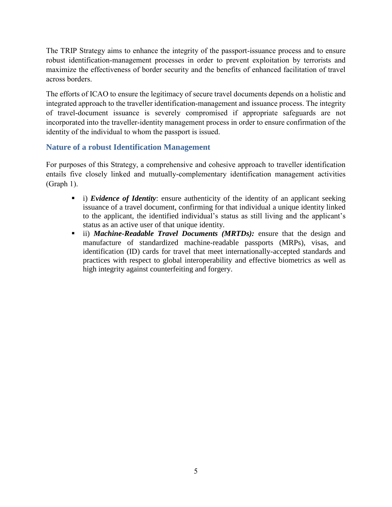The TRIP Strategy aims to enhance the integrity of the passport-issuance process and to ensure robust identification-management processes in order to prevent exploitation by terrorists and maximize the effectiveness of border security and the benefits of enhanced facilitation of travel across borders.

The efforts of ICAO to ensure the legitimacy of secure travel documents depends on a holistic and integrated approach to the traveller identification-management and issuance process. The integrity of travel-document issuance is severely compromised if appropriate safeguards are not incorporated into the traveller-identity management process in order to ensure confirmation of the identity of the individual to whom the passport is issued.

#### **Nature of a robust Identification Management**

For purposes of this Strategy, a comprehensive and cohesive approach to traveller identification entails five closely linked and mutually-complementary identification management activities (Graph 1).

- **i** i) *Evidence of Identity*: ensure authenticity of the identity of an applicant seeking issuance of a travel document, confirming for that individual a unique identity linked to the applicant, the identified individual's status as still living and the applicant's status as an active user of that unique identity.
- **ii)** *Machine-Readable Travel Documents (MRTDs)***:** ensure that the design and manufacture of standardized machine-readable passports (MRPs), visas, and identification (ID) cards for travel that meet internationally-accepted standards and practices with respect to global interoperability and effective biometrics as well as high integrity against counterfeiting and forgery.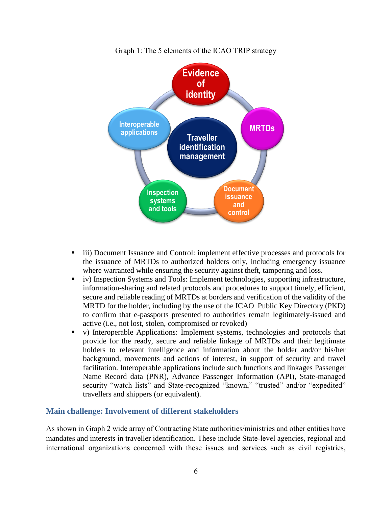

Graph 1: The 5 elements of the ICAO TRIP strategy

- iii) Document Issuance and Control: implement effective processes and protocols for the issuance of MRTDs to authorized holders only, including emergency issuance where warranted while ensuring the security against theft, tampering and loss.
- iv) Inspection Systems and Tools: Implement technologies, supporting infrastructure, information-sharing and related protocols and procedures to support timely, efficient, secure and reliable reading of MRTDs at borders and verification of the validity of the MRTD for the holder, including by the use of the ICAO Public Key Directory (PKD) to confirm that e-passports presented to authorities remain legitimately-issued and active (i.e., not lost, stolen, compromised or revoked)
- v) Interoperable Applications: Implement systems, technologies and protocols that provide for the ready, secure and reliable linkage of MRTDs and their legitimate holders to relevant intelligence and information about the holder and/or his/her background, movements and actions of interest, in support of security and travel facilitation. Interoperable applications include such functions and linkages Passenger Name Record data (PNR), Advance Passenger Information (API), State-managed security "watch lists" and State-recognized "known," "trusted" and/or "expedited" travellers and shippers (or equivalent).

#### **Main challenge: Involvement of different stakeholders**

As shown in Graph 2 wide array of Contracting State authorities/ministries and other entities have mandates and interests in traveller identification. These include State-level agencies, regional and international organizations concerned with these issues and services such as civil registries,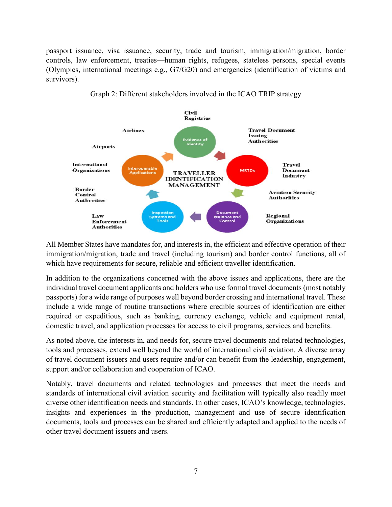passport issuance, visa issuance, security, trade and tourism, immigration/migration, border controls, law enforcement, treaties—human rights, refugees, stateless persons, special events (Olympics, international meetings e.g., G7/G20) and emergencies (identification of victims and survivors).





All Member States have mandates for, and interests in, the efficient and effective operation of their immigration/migration, trade and travel (including tourism) and border control functions, all of which have requirements for secure, reliable and efficient traveller identification.

In addition to the organizations concerned with the above issues and applications, there are the individual travel document applicants and holders who use formal travel documents (most notably passports) for a wide range of purposes well beyond border crossing and international travel. These include a wide range of routine transactions where credible sources of identification are either required or expeditious, such as banking, currency exchange, vehicle and equipment rental, domestic travel, and application processes for access to civil programs, services and benefits.

As noted above, the interests in, and needs for, secure travel documents and related technologies, tools and processes, extend well beyond the world of international civil aviation. A diverse array of travel document issuers and users require and/or can benefit from the leadership, engagement, support and/or collaboration and cooperation of ICAO.

Notably, travel documents and related technologies and processes that meet the needs and standards of international civil aviation security and facilitation will typically also readily meet diverse other identification needs and standards. In other cases, ICAO's knowledge, technologies, insights and experiences in the production, management and use of secure identification documents, tools and processes can be shared and efficiently adapted and applied to the needs of other travel document issuers and users.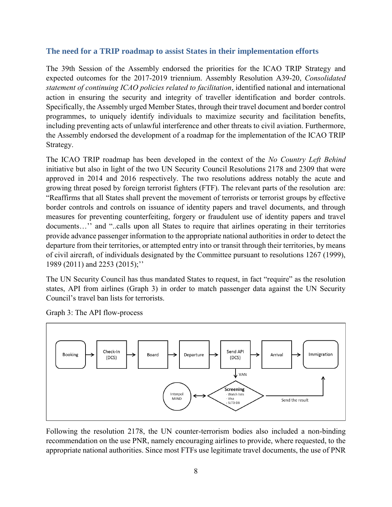#### **The need for a TRIP roadmap to assist States in their implementation efforts**

The 39th Session of the Assembly endorsed the priorities for the ICAO TRIP Strategy and expected outcomes for the 2017-2019 triennium. Assembly Resolution A39-20, *Consolidated statement of continuing ICAO policies related to facilitation*, identified national and international action in ensuring the security and integrity of traveller identification and border controls. Specifically, the Assembly urged Member States, through their travel document and border control programmes, to uniquely identify individuals to maximize security and facilitation benefits, including preventing acts of unlawful interference and other threats to civil aviation. Furthermore, the Assembly endorsed the development of a roadmap for the implementation of the ICAO TRIP Strategy.

The ICAO TRIP roadmap has been developed in the context of the *No Country Left Behind* initiative but also in light of the two UN Security Council Resolutions 2178 and 2309 that were approved in 2014 and 2016 respectively. The two resolutions address notably the acute and growing threat posed by foreign terrorist fighters (FTF). The relevant parts of the resolution are: "Reaffirms that all States shall prevent the movement of terrorists or terrorist groups by effective border controls and controls on issuance of identity papers and travel documents, and through measures for preventing counterfeiting, forgery or fraudulent use of identity papers and travel documents…'' and "..calls upon all States to require that airlines operating in their territories provide advance passenger information to the appropriate national authorities in order to detect the departure from their territories, or attempted entry into or transit through their territories, by means of civil aircraft, of individuals designated by the Committee pursuant to resolutions 1267 (1999), 1989 (2011) and 2253 (2015);''

The UN Security Council has thus mandated States to request, in fact "require" as the resolution states, API from airlines (Graph 3) in order to match passenger data against the UN Security Council's travel ban lists for terrorists.



Graph 3: The API flow-process

Following the resolution 2178, the UN counter-terrorism bodies also included a non-binding recommendation on the use PNR, namely encouraging airlines to provide, where requested, to the appropriate national authorities. Since most FTFs use legitimate travel documents, the use of PNR